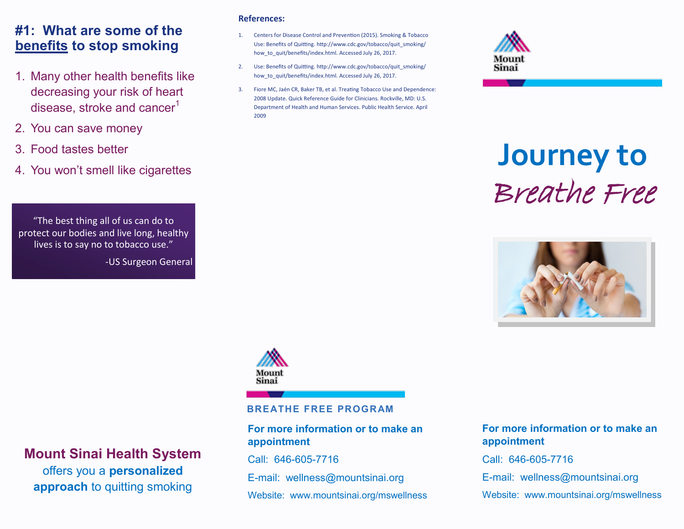#### **#1: What are some of the benefits to stop smoking**

- 1. Many other health benefits like decreasing your risk of heart disease, stroke and cancer $1$
- 2. You can save money
- 3. Food tastes better
- 4. You won't smell like cigarettes

"The best thing all of us can do to protect our bodies and live long, healthy lives is to say no to tobacco use."

-US Surgeon General

#### **References:**

- 1. Centers for Disease Control and Prevention (2015). Smoking & Tobacco Use: Benefits of Quitting. http://www.cdc.gov/tobacco/quit\_smoking/ how to quit/benefits/index.html. Accessed July 26, 2017.
- 2. Use: Benefits of Quitting. http://www.cdc.gov/tobacco/quit\_smoking/ how to quit/benefits/index.html. Accessed July 26, 2017.
- 3. Fiore MC, Jaén CR, Baker TB, et al. Treating Tobacco Use and Dependence: 2008 Update. Quick Reference Guide for Clinicians. Rockville, MD: U.S. Department of Health and Human Services. Public Health Service. April 2009



# **Journey to**  Breathe Free





#### **BREATHE FREE PROGRAM**

#### **For more information or to make an appointment**

Call: 646-605-7716

E-mail: wellness@mountsinai.org

Website: www.mountsinai.org/mswellness

#### **For more information or to make an appointment**

Call: 646-605-7716

E-mail: wellness@mountsinai.org

Website: www.mountsinai.org/mswellness

## **Mount Sinai Health System**  offers you a **personalized approach** to quitting smoking